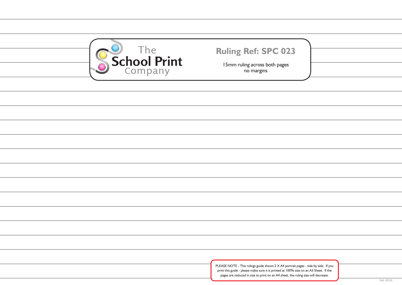| s - side by side. If you<br>an A3 Sheet. If the |           |
|-------------------------------------------------|-----------|
| size will decrease.                             | Ref: BO23 |



15mm ruling across both pages no margins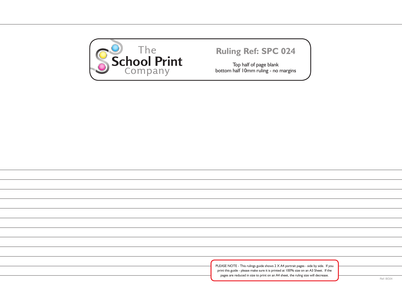| s - side by side. If you<br>an A3 Sheet. If the<br>size will decrease. |           |
|------------------------------------------------------------------------|-----------|
|                                                                        | Ref: BO24 |
|                                                                        |           |



Top half of page blank bottom half 10mm ruling - no margins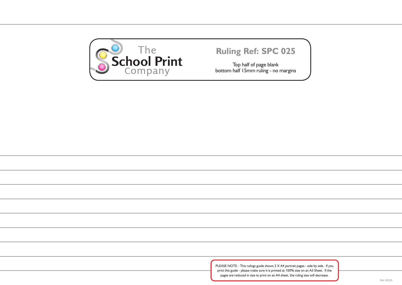

Top half of page blank bottom half 15mm ruling - no margins

PLEASE NOTE - This rulings guide shows 2 X A4 portrait pages - side by side. If you print this guide - please make sure it is printed at 100% size on an A3 Sheet. If the pages are reduced in size to print on an A4 sheet, the ruling size will decrease.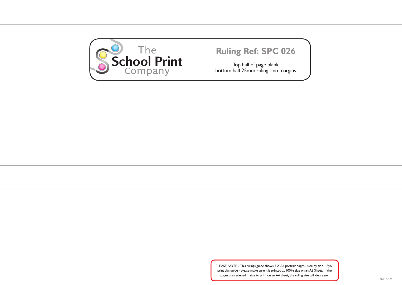

Top half of page blank bottom half 25mm ruling - no margins

PLEASE NOTE - This rulings guide shows 2 X A4 portrait pages - side by side. If you print this guide - please make sure it is printed at 100% size on an A3 Sheet. If the pages are reduced in size to print on an A4 sheet, the ruling size will decrease.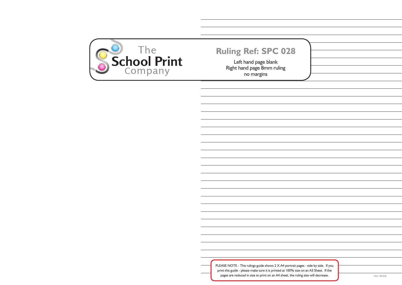| s - side by side. If you |           |
|--------------------------|-----------|
| n an A3 Sheet. If the    |           |
| size will decrease.      | Ref: BO28 |



Left hand page blank Right hand page 8mm ruling no margins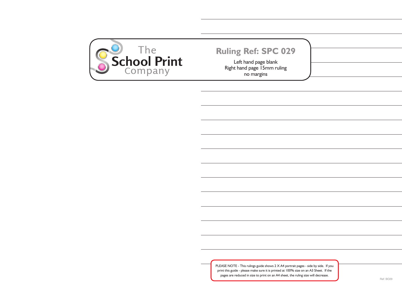| s - side by side. If you<br>n an A3 Sheet. If the<br>size will decrease. | Ref: BO29 |
|--------------------------------------------------------------------------|-----------|
|                                                                          |           |



Left hand page blank Right hand page 15mm ruling no margins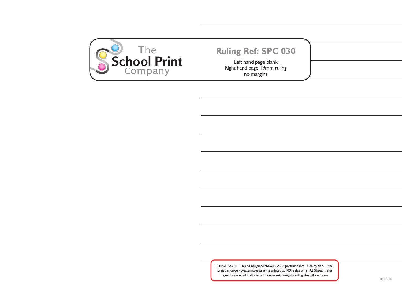

Left hand page blank Right hand page 19mm ruling no margins

PLEASE NOTE - This rulings guide shows  $2 \times A4$  portrait page. print this guide - please make sure it is printed at 100% size on an A3 Sheet. If the pages are reduced in size to print on an A4 sheet, the ruling size will decrease.

| es - side by side. If you |  |
|---------------------------|--|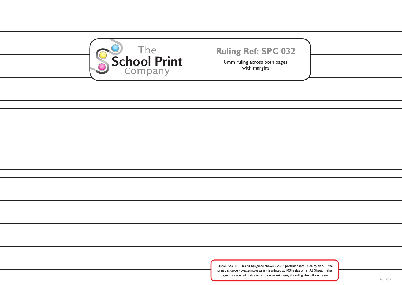| School Print | <b>Ruling Ref: SPC 032</b><br>8mm ruling across both pages<br>with margins                                                                                                 |           |
|--------------|----------------------------------------------------------------------------------------------------------------------------------------------------------------------------|-----------|
|              |                                                                                                                                                                            |           |
|              |                                                                                                                                                                            |           |
|              |                                                                                                                                                                            |           |
|              |                                                                                                                                                                            |           |
|              |                                                                                                                                                                            |           |
|              |                                                                                                                                                                            |           |
|              |                                                                                                                                                                            |           |
|              |                                                                                                                                                                            |           |
|              |                                                                                                                                                                            |           |
|              |                                                                                                                                                                            |           |
|              |                                                                                                                                                                            |           |
|              |                                                                                                                                                                            |           |
|              |                                                                                                                                                                            |           |
|              |                                                                                                                                                                            |           |
|              |                                                                                                                                                                            |           |
|              |                                                                                                                                                                            |           |
|              |                                                                                                                                                                            |           |
|              |                                                                                                                                                                            |           |
|              |                                                                                                                                                                            |           |
|              | PLEASE NOTE - This rulings guide shows 2 X A4 portrait pages - side by side. If you                                                                                        |           |
|              | print this guide - please make sure it is printed at 100% size on an A3 Sheet. If the<br>pages are reduced in size to print on an A4 sheet, the ruling size will decrease. |           |
|              |                                                                                                                                                                            | Ref: BO32 |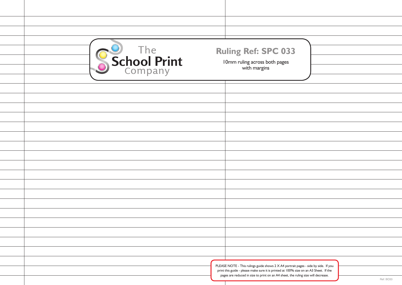| School Print | <b>Ruling Ref: SPC 033</b><br>I 0mm ruling across both pages<br>with margins                                                                                                                                                                                                   |  |
|--------------|--------------------------------------------------------------------------------------------------------------------------------------------------------------------------------------------------------------------------------------------------------------------------------|--|
|              |                                                                                                                                                                                                                                                                                |  |
|              |                                                                                                                                                                                                                                                                                |  |
|              |                                                                                                                                                                                                                                                                                |  |
|              | PLEASE NOTE - This rulings guide shows 2 X A4 portrait pages - side by side. If you<br>print this guide - please make sure it is printed at 100% size on an A3 Sheet. If the<br>pages are reduced in size to print on an A4 sheet, the ruling size will decrease.<br>Ref: BO33 |  |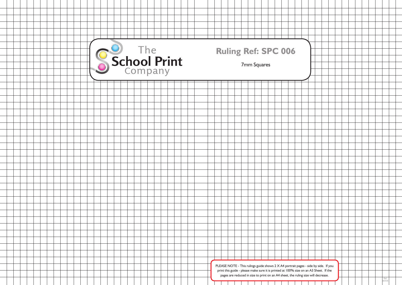|  | s - side by side. If you                     |  |  |  |  |              |  |
|--|----------------------------------------------|--|--|--|--|--------------|--|
|  | n an A3 Sheet. If the<br>size will decrease. |  |  |  |  |              |  |
|  |                                              |  |  |  |  | Ref:<br>BOO6 |  |
|  |                                              |  |  |  |  |              |  |

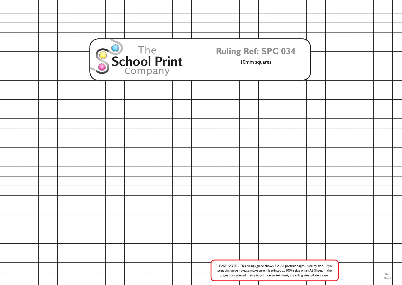| s - side by side. If you<br>n an A3 Sheet. If the |  |  |  |                     |  |
|---------------------------------------------------|--|--|--|---------------------|--|
| size will decrease.                               |  |  |  | Ref:<br><b>BO34</b> |  |
|                                                   |  |  |  |                     |  |

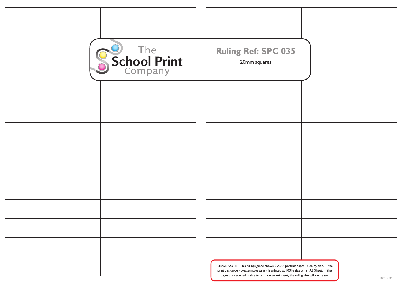| s - side by side. If you<br>an A3 Sheet. If the |  |           |
|-------------------------------------------------|--|-----------|
| size will decrease.                             |  | Ref: BO35 |

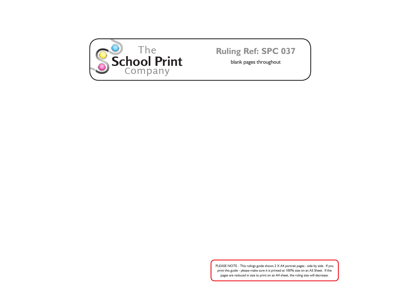

**Ruling Ref: SPC 037**

blank pages throughout

PLEASE NOTE - This rulings guide shows 2 X A4 portrait pages - side by side. If you print this guide - please make sure it is printed at 100% size on an A3 Sheet. If the pages are reduced in size to print on an A4 sheet, the ruling size will decrease.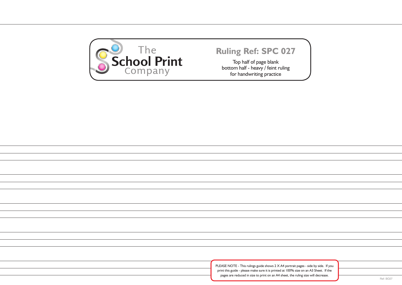| s - side by side. If you<br>n an A3 Sheet. If the |  |           |
|---------------------------------------------------|--|-----------|
| size will decrease.                               |  | Ref: BO27 |
|                                                   |  |           |
|                                                   |  |           |
|                                                   |  |           |



Top half of page blank bottom half - heavy / feint ruling for handwriting practice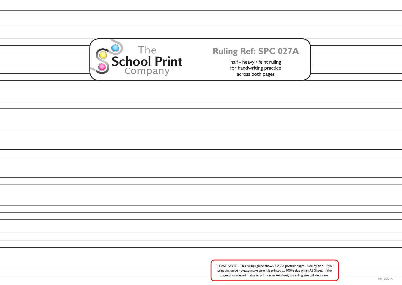| s - side by side. If you<br>n an A3 Sheet. If the |            |
|---------------------------------------------------|------------|
| size will decrease.                               |            |
|                                                   | Ref: BO27A |



# **Ruling Ref: SPC 027A**

half - heavy / feint ruling for handwriting practice across both pages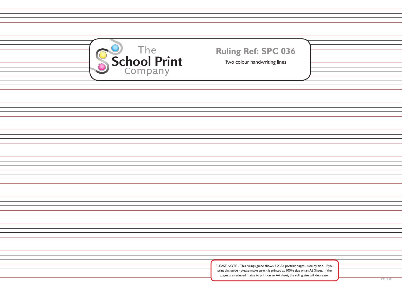| s - side by side. If you |           |
|--------------------------|-----------|
| n an A3 Sheet. If the    |           |
|                          |           |
| size will decrease.      |           |
|                          | Ref: BO36 |
|                          |           |

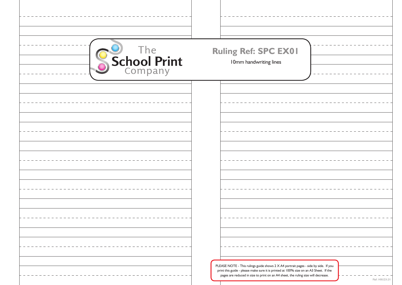| School Print | Ruling Ref: SPC EX01<br>I0mm handwriting lines                                                                                                                                                                                                                    |               |
|--------------|-------------------------------------------------------------------------------------------------------------------------------------------------------------------------------------------------------------------------------------------------------------------|---------------|
|              |                                                                                                                                                                                                                                                                   |               |
|              |                                                                                                                                                                                                                                                                   |               |
|              |                                                                                                                                                                                                                                                                   |               |
|              |                                                                                                                                                                                                                                                                   |               |
|              |                                                                                                                                                                                                                                                                   |               |
|              |                                                                                                                                                                                                                                                                   |               |
|              |                                                                                                                                                                                                                                                                   |               |
|              |                                                                                                                                                                                                                                                                   |               |
|              |                                                                                                                                                                                                                                                                   |               |
|              |                                                                                                                                                                                                                                                                   |               |
|              |                                                                                                                                                                                                                                                                   |               |
|              |                                                                                                                                                                                                                                                                   |               |
|              |                                                                                                                                                                                                                                                                   |               |
|              |                                                                                                                                                                                                                                                                   |               |
|              |                                                                                                                                                                                                                                                                   |               |
|              |                                                                                                                                                                                                                                                                   |               |
|              |                                                                                                                                                                                                                                                                   |               |
|              | PLEASE NOTE - This rulings guide shows 2 X A4 portrait pages - side by side. If you<br>print this guide - please make sure it is printed at 100% size on an A3 Sheet. If the<br>pages are reduced in size to print on an A4 sheet, the ruling size will decrease. |               |
|              |                                                                                                                                                                                                                                                                   | Ref: HW.EX.01 |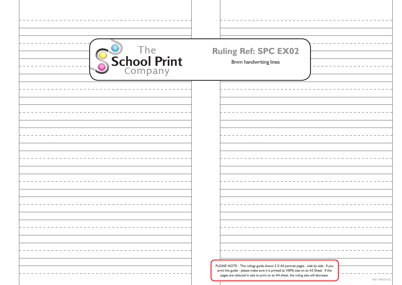| School Print | <b>Ruling Ref: SPC EX02</b><br>8mm handwriting lines                                                                                                                                                                                                                               |
|--------------|------------------------------------------------------------------------------------------------------------------------------------------------------------------------------------------------------------------------------------------------------------------------------------|
|              |                                                                                                                                                                                                                                                                                    |
|              |                                                                                                                                                                                                                                                                                    |
|              |                                                                                                                                                                                                                                                                                    |
|              |                                                                                                                                                                                                                                                                                    |
|              |                                                                                                                                                                                                                                                                                    |
|              | PLEASE NOTE - This rulings guide shows 2 X A4 portrait pages - side by side. If you<br>print this guide - please make sure it is printed at 100% size on an A3 Sheet. If the<br>pages are reduced in size to print on an A4 sheet, the ruling size will decrease.<br>Ref: HW.EX.02 |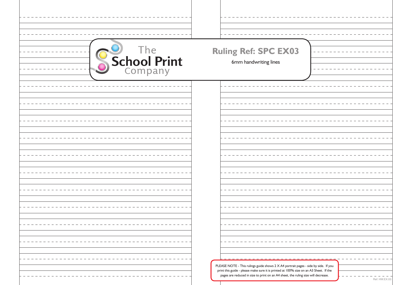| School Print | <b>Ruling Ref: SPC EX03</b><br>6mm handwriting lines                                                                                                                                                                                                                               |
|--------------|------------------------------------------------------------------------------------------------------------------------------------------------------------------------------------------------------------------------------------------------------------------------------------|
|              |                                                                                                                                                                                                                                                                                    |
|              |                                                                                                                                                                                                                                                                                    |
|              |                                                                                                                                                                                                                                                                                    |
|              |                                                                                                                                                                                                                                                                                    |
|              |                                                                                                                                                                                                                                                                                    |
|              | PLEASE NOTE - This rulings guide shows 2 X A4 portrait pages - side by side. If you<br>print this guide - please make sure it is printed at 100% size on an A3 Sheet. If the<br>pages are reduced in size to print on an A4 sheet, the ruling size will decrease.<br>Ref: HW.EX.03 |